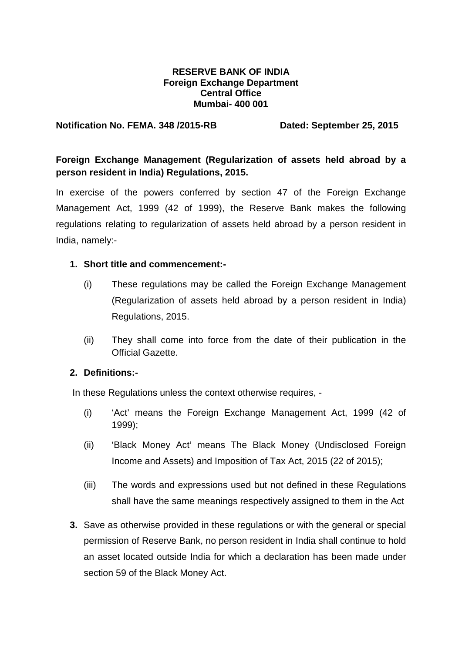### **RESERVE BANK OF INDIA Foreign Exchange Department Central Office Mumbai- 400 001**

#### **Notification No. FEMA. 348 /2015-RB Dated: September 25, 2015**

# **Foreign Exchange Management (Regularization of assets held abroad by a person resident in India) Regulations, 2015.**

In exercise of the powers conferred by section 47 of the Foreign Exchange Management Act, 1999 (42 of 1999), the Reserve Bank makes the following regulations relating to regularization of assets held abroad by a person resident in India, namely:-

## **1. Short title and commencement:-**

- (i) These regulations may be called the Foreign Exchange Management (Regularization of assets held abroad by a person resident in India) Regulations, 2015.
- (ii) They shall come into force from the date of their publication in the Official Gazette.

# **2. Definitions:-**

In these Regulations unless the context otherwise requires, -

- (i) 'Act' means the Foreign Exchange Management Act, 1999 (42 of 1999);
- (ii) 'Black Money Act' means The Black Money (Undisclosed Foreign Income and Assets) and Imposition of Tax Act, 2015 (22 of 2015);
- (iii) The words and expressions used but not defined in these Regulations shall have the same meanings respectively assigned to them in the Act
- **3.** Save as otherwise provided in these regulations or with the general or special permission of Reserve Bank, no person resident in India shall continue to hold an asset located outside India for which a declaration has been made under section 59 of the Black Money Act.